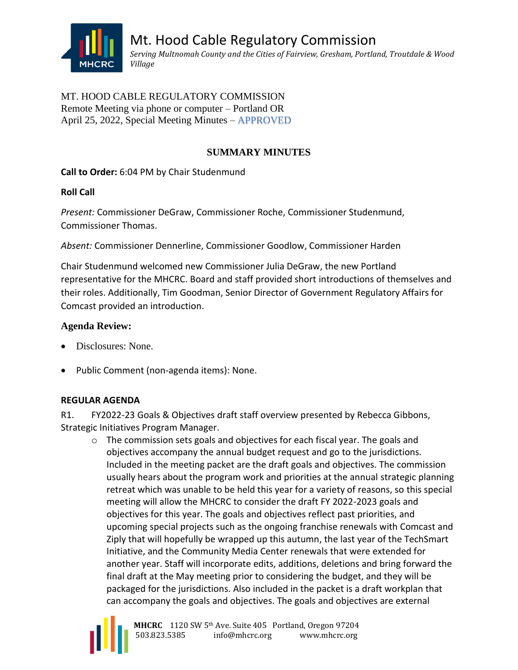

# MT. HOOD CABLE REGULATORY COMMISSION Remote Meeting via phone or computer – Portland OR April 25, 2022, Special Meeting Minutes – APPROVED

# **SUMMARY MINUTES**

# **Call to Order:** 6:04 PM by Chair Studenmund

### **Roll Call**

*Present:* Commissioner DeGraw, Commissioner Roche, Commissioner Studenmund, Commissioner Thomas.

*Absent:* Commissioner Dennerline, Commissioner Goodlow, Commissioner Harden

Chair Studenmund welcomed new Commissioner Julia DeGraw, the new Portland representative for the MHCRC. Board and staff provided short introductions of themselves and their roles. Additionally, Tim Goodman, Senior Director of Government Regulatory Affairs for Comcast provided an introduction.

# **Agenda Review:**

- Disclosures: None.
- Public Comment (non-agenda items): None.

### **REGULAR AGENDA**

R1. FY2022-23 Goals & Objectives draft staff overview presented by Rebecca Gibbons, Strategic Initiatives Program Manager.

 $\circ$  The commission sets goals and objectives for each fiscal year. The goals and objectives accompany the annual budget request and go to the jurisdictions. Included in the meeting packet are the draft goals and objectives. The commission usually hears about the program work and priorities at the annual strategic planning retreat which was unable to be held this year for a variety of reasons, so this special meeting will allow the MHCRC to consider the draft FY 2022-2023 goals and objectives for this year. The goals and objectives reflect past priorities, and upcoming special projects such as the ongoing franchise renewals with Comcast and Ziply that will hopefully be wrapped up this autumn, the last year of the TechSmart Initiative, and the Community Media Center renewals that were extended for another year. Staff will incorporate edits, additions, deletions and bring forward the final draft at the May meeting prior to considering the budget, and they will be packaged for the jurisdictions. Also included in the packet is a draft workplan that can accompany the goals and objectives. The goals and objectives are external

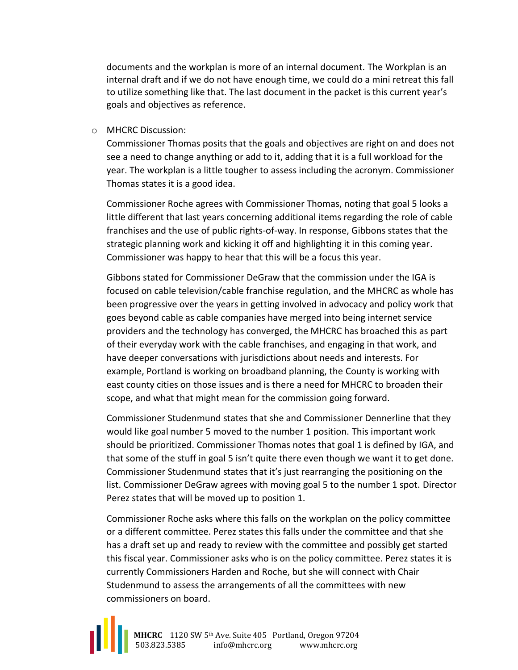documents and the workplan is more of an internal document. The Workplan is an internal draft and if we do not have enough time, we could do a mini retreat this fall to utilize something like that. The last document in the packet is this current year's goals and objectives as reference.

o MHCRC Discussion:

Commissioner Thomas posits that the goals and objectives are right on and does not see a need to change anything or add to it, adding that it is a full workload for the year. The workplan is a little tougher to assess including the acronym. Commissioner Thomas states it is a good idea.

Commissioner Roche agrees with Commissioner Thomas, noting that goal 5 looks a little different that last years concerning additional items regarding the role of cable franchises and the use of public rights-of-way. In response, Gibbons states that the strategic planning work and kicking it off and highlighting it in this coming year. Commissioner was happy to hear that this will be a focus this year.

Gibbons stated for Commissioner DeGraw that the commission under the IGA is focused on cable television/cable franchise regulation, and the MHCRC as whole has been progressive over the years in getting involved in advocacy and policy work that goes beyond cable as cable companies have merged into being internet service providers and the technology has converged, the MHCRC has broached this as part of their everyday work with the cable franchises, and engaging in that work, and have deeper conversations with jurisdictions about needs and interests. For example, Portland is working on broadband planning, the County is working with east county cities on those issues and is there a need for MHCRC to broaden their scope, and what that might mean for the commission going forward.

Commissioner Studenmund states that she and Commissioner Dennerline that they would like goal number 5 moved to the number 1 position. This important work should be prioritized. Commissioner Thomas notes that goal 1 is defined by IGA, and that some of the stuff in goal 5 isn't quite there even though we want it to get done. Commissioner Studenmund states that it's just rearranging the positioning on the list. Commissioner DeGraw agrees with moving goal 5 to the number 1 spot. Director Perez states that will be moved up to position 1.

Commissioner Roche asks where this falls on the workplan on the policy committee or a different committee. Perez states this falls under the committee and that she has a draft set up and ready to review with the committee and possibly get started this fiscal year. Commissioner asks who is on the policy committee. Perez states it is currently Commissioners Harden and Roche, but she will connect with Chair Studenmund to assess the arrangements of all the committees with new commissioners on board.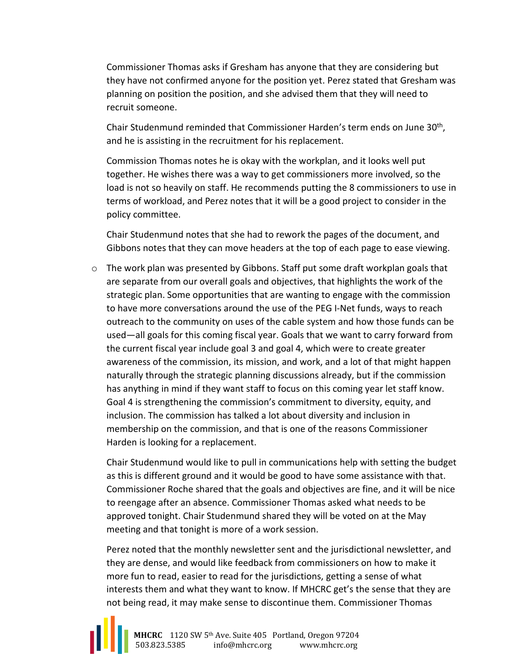Commissioner Thomas asks if Gresham has anyone that they are considering but they have not confirmed anyone for the position yet. Perez stated that Gresham was planning on position the position, and she advised them that they will need to recruit someone.

Chair Studenmund reminded that Commissioner Harden's term ends on June 30<sup>th</sup>, and he is assisting in the recruitment for his replacement.

Commission Thomas notes he is okay with the workplan, and it looks well put together. He wishes there was a way to get commissioners more involved, so the load is not so heavily on staff. He recommends putting the 8 commissioners to use in terms of workload, and Perez notes that it will be a good project to consider in the policy committee.

Chair Studenmund notes that she had to rework the pages of the document, and Gibbons notes that they can move headers at the top of each page to ease viewing.

 $\circ$  The work plan was presented by Gibbons. Staff put some draft workplan goals that are separate from our overall goals and objectives, that highlights the work of the strategic plan. Some opportunities that are wanting to engage with the commission to have more conversations around the use of the PEG I-Net funds, ways to reach outreach to the community on uses of the cable system and how those funds can be used—all goals for this coming fiscal year. Goals that we want to carry forward from the current fiscal year include goal 3 and goal 4, which were to create greater awareness of the commission, its mission, and work, and a lot of that might happen naturally through the strategic planning discussions already, but if the commission has anything in mind if they want staff to focus on this coming year let staff know. Goal 4 is strengthening the commission's commitment to diversity, equity, and inclusion. The commission has talked a lot about diversity and inclusion in membership on the commission, and that is one of the reasons Commissioner Harden is looking for a replacement.

Chair Studenmund would like to pull in communications help with setting the budget as this is different ground and it would be good to have some assistance with that. Commissioner Roche shared that the goals and objectives are fine, and it will be nice to reengage after an absence. Commissioner Thomas asked what needs to be approved tonight. Chair Studenmund shared they will be voted on at the May meeting and that tonight is more of a work session.

Perez noted that the monthly newsletter sent and the jurisdictional newsletter, and they are dense, and would like feedback from commissioners on how to make it more fun to read, easier to read for the jurisdictions, getting a sense of what interests them and what they want to know. If MHCRC get's the sense that they are not being read, it may make sense to discontinue them. Commissioner Thomas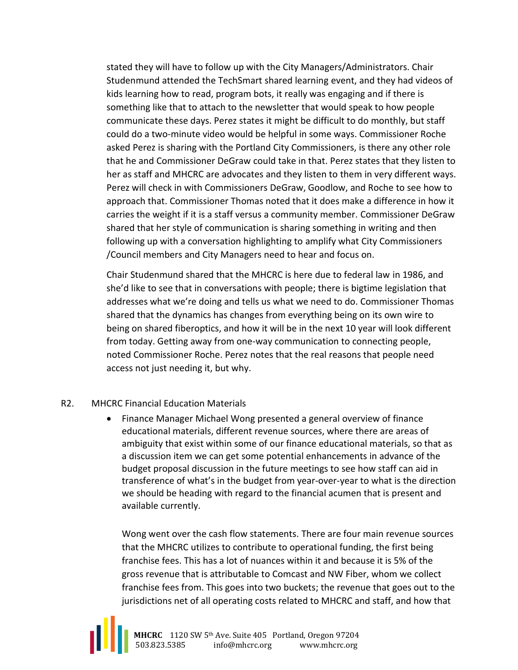stated they will have to follow up with the City Managers/Administrators. Chair Studenmund attended the TechSmart shared learning event, and they had videos of kids learning how to read, program bots, it really was engaging and if there is something like that to attach to the newsletter that would speak to how people communicate these days. Perez states it might be difficult to do monthly, but staff could do a two-minute video would be helpful in some ways. Commissioner Roche asked Perez is sharing with the Portland City Commissioners, is there any other role that he and Commissioner DeGraw could take in that. Perez states that they listen to her as staff and MHCRC are advocates and they listen to them in very different ways. Perez will check in with Commissioners DeGraw, Goodlow, and Roche to see how to approach that. Commissioner Thomas noted that it does make a difference in how it carries the weight if it is a staff versus a community member. Commissioner DeGraw shared that her style of communication is sharing something in writing and then following up with a conversation highlighting to amplify what City Commissioners /Council members and City Managers need to hear and focus on.

Chair Studenmund shared that the MHCRC is here due to federal law in 1986, and she'd like to see that in conversations with people; there is bigtime legislation that addresses what we're doing and tells us what we need to do. Commissioner Thomas shared that the dynamics has changes from everything being on its own wire to being on shared fiberoptics, and how it will be in the next 10 year will look different from today. Getting away from one-way communication to connecting people, noted Commissioner Roche. Perez notes that the real reasons that people need access not just needing it, but why.

#### R2. MHCRC Financial Education Materials

• Finance Manager Michael Wong presented a general overview of finance educational materials, different revenue sources, where there are areas of ambiguity that exist within some of our finance educational materials, so that as a discussion item we can get some potential enhancements in advance of the budget proposal discussion in the future meetings to see how staff can aid in transference of what's in the budget from year-over-year to what is the direction we should be heading with regard to the financial acumen that is present and available currently.

Wong went over the cash flow statements. There are four main revenue sources that the MHCRC utilizes to contribute to operational funding, the first being franchise fees. This has a lot of nuances within it and because it is 5% of the gross revenue that is attributable to Comcast and NW Fiber, whom we collect franchise fees from. This goes into two buckets; the revenue that goes out to the jurisdictions net of all operating costs related to MHCRC and staff, and how that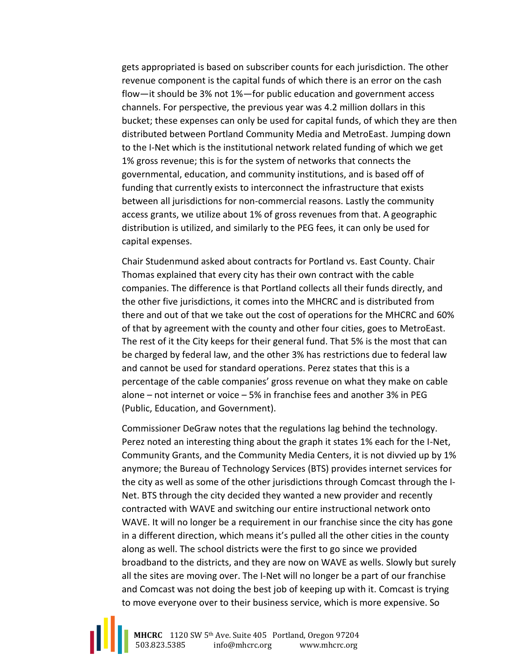gets appropriated is based on subscriber counts for each jurisdiction. The other revenue component is the capital funds of which there is an error on the cash flow—it should be 3% not 1%—for public education and government access channels. For perspective, the previous year was 4.2 million dollars in this bucket; these expenses can only be used for capital funds, of which they are then distributed between Portland Community Media and MetroEast. Jumping down to the I-Net which is the institutional network related funding of which we get 1% gross revenue; this is for the system of networks that connects the governmental, education, and community institutions, and is based off of funding that currently exists to interconnect the infrastructure that exists between all jurisdictions for non-commercial reasons. Lastly the community access grants, we utilize about 1% of gross revenues from that. A geographic distribution is utilized, and similarly to the PEG fees, it can only be used for capital expenses.

Chair Studenmund asked about contracts for Portland vs. East County. Chair Thomas explained that every city has their own contract with the cable companies. The difference is that Portland collects all their funds directly, and the other five jurisdictions, it comes into the MHCRC and is distributed from there and out of that we take out the cost of operations for the MHCRC and 60% of that by agreement with the county and other four cities, goes to MetroEast. The rest of it the City keeps for their general fund. That 5% is the most that can be charged by federal law, and the other 3% has restrictions due to federal law and cannot be used for standard operations. Perez states that this is a percentage of the cable companies' gross revenue on what they make on cable alone – not internet or voice – 5% in franchise fees and another 3% in PEG (Public, Education, and Government).

Commissioner DeGraw notes that the regulations lag behind the technology. Perez noted an interesting thing about the graph it states 1% each for the I-Net, Community Grants, and the Community Media Centers, it is not divvied up by 1% anymore; the Bureau of Technology Services (BTS) provides internet services for the city as well as some of the other jurisdictions through Comcast through the I-Net. BTS through the city decided they wanted a new provider and recently contracted with WAVE and switching our entire instructional network onto WAVE. It will no longer be a requirement in our franchise since the city has gone in a different direction, which means it's pulled all the other cities in the county along as well. The school districts were the first to go since we provided broadband to the districts, and they are now on WAVE as wells. Slowly but surely all the sites are moving over. The I-Net will no longer be a part of our franchise and Comcast was not doing the best job of keeping up with it. Comcast is trying to move everyone over to their business service, which is more expensive. So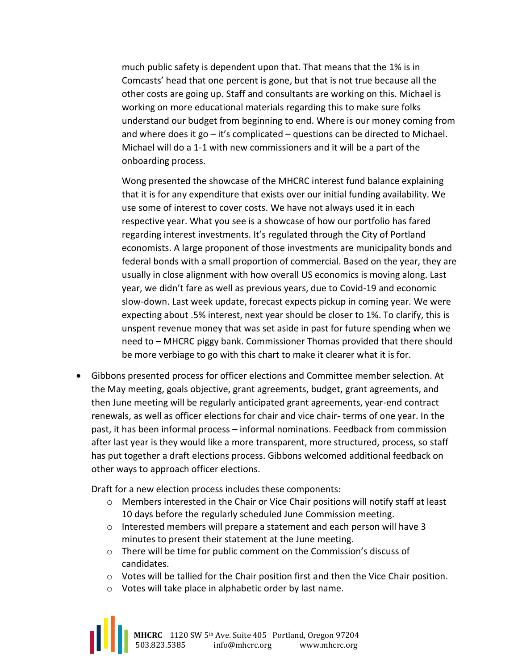much public safety is dependent upon that. That means that the 1% is in Comcasts' head that one percent is gone, but that is not true because all the other costs are going up. Staff and consultants are working on this. Michael is working on more educational materials regarding this to make sure folks understand our budget from beginning to end. Where is our money coming from and where does it go  $-$  it's complicated  $-$  questions can be directed to Michael. Michael will do a 1-1 with new commissioners and it will be a part of the onboarding process.

Wong presented the showcase of the MHCRC interest fund balance explaining that it is for any expenditure that exists over our initial funding availability. We use some of interest to cover costs. We have not always used it in each respective year. What you see is a showcase of how our portfolio has fared regarding interest investments. It's regulated through the City of Portland economists. A large proponent of those investments are municipality bonds and federal bonds with a small proportion of commercial. Based on the year, they are usually in close alignment with how overall US economics is moving along. Last year, we didn't fare as well as previous years, due to Covid-19 and economic slow-down. Last week update, forecast expects pickup in coming year. We were expecting about .5% interest, next year should be closer to 1%. To clarify, this is unspent revenue money that was set aside in past for future spending when we need to – MHCRC piggy bank. Commissioner Thomas provided that there should be more verbiage to go with this chart to make it clearer what it is for.

• Gibbons presented process for officer elections and Committee member selection. At the May meeting, goals objective, grant agreements, budget, grant agreements, and then June meeting will be regularly anticipated grant agreements, year-end contract renewals, as well as officer elections for chair and vice chair- terms of one year. In the past, it has been informal process – informal nominations. Feedback from commission after last year is they would like a more transparent, more structured, process, so staff has put together a draft elections process. Gibbons welcomed additional feedback on other ways to approach officer elections.

Draft for a new election process includes these components:

- $\circ$  Members interested in the Chair or Vice Chair positions will notify staff at least 10 days before the regularly scheduled June Commission meeting.
- $\circ$  Interested members will prepare a statement and each person will have 3 minutes to present their statement at the June meeting.
- o There will be time for public comment on the Commission's discuss of candidates.
- $\circ$  Votes will be tallied for the Chair position first and then the Vice Chair position.
- o Votes will take place in alphabetic order by last name.